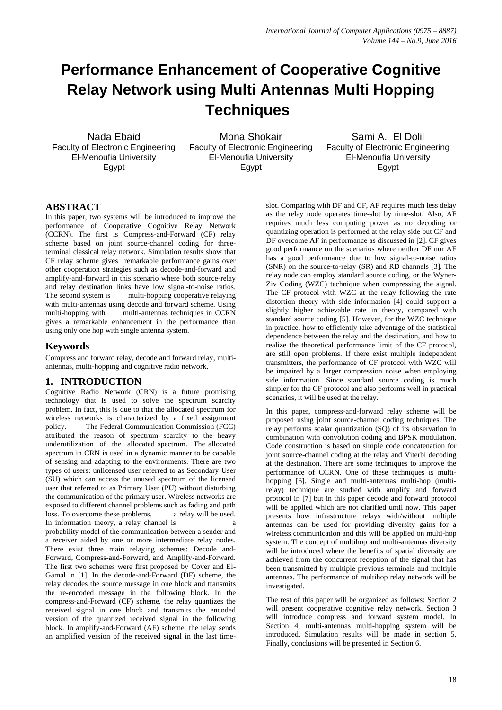# **Performance Enhancement of Cooperative Cognitive Relay Network using Multi Antennas Multi Hopping Techniques**

Nada Ebaid Faculty of Electronic Engineering El-Menoufia University Egypt

Mona Shokair Faculty of Electronic Engineering El-Menoufia University Egypt

Sami A. El Dolil Faculty of Electronic Engineering El-Menoufia University Egypt

# **ABSTRACT**

In this paper, two systems will be introduced to improve the performance of Cooperative Cognitive Relay Network (CCRN). The first is Compress-and-Forward (CF) relay scheme based on joint source-channel coding for threeterminal classical relay network. Simulation results show that CF relay scheme gives remarkable performance gains over other cooperation strategies such as decode-and-forward and amplify-and-forward in this scenario where both source-relay and relay destination links have low signal-to-noise ratios. The second system is multi-hopping cooperative relaying with multi-antennas using decode and forward scheme. Using multi-hopping with multi-antennas techniques in CCRN gives a remarkable enhancement in the performance than using only one hop with single antenna system.

# **Keywords**

Compress and forward relay, decode and forward relay, multiantennas, multi-hopping and cognitive radio network.

## **1. INTRODUCTION**

Cognitive Radio Network (CRN) is a future promising technology that is used to solve the spectrum scarcity problem. In fact, this is due to that the allocated spectrum for wireless networks is characterized by a fixed assignment policy. The Federal Communication Commission (FCC) attributed the reason of spectrum scarcity to the heavy underutilization of the allocated spectrum. The allocated spectrum in CRN is used in a dynamic manner to be capable of sensing and adapting to the environments. There are two types of users: unlicensed user referred to as Secondary User (SU) which can access the unused spectrum of the licensed user that referred to as Primary User (PU) without disturbing the communication of the primary user. Wireless networks are exposed to different channel problems such as fading and path loss. To overcome these problems, a relay will be used. In information theory, a relay channel is probability model of the communication between a sender and a receiver aided by one or more intermediate relay nodes. There exist three main relaying schemes: Decode and-Forward, Compress-and-Forward, and Amplify-and-Forward. The first two schemes were first proposed by Cover and El-Gamal in [1]. In the decode-and-Forward (DF) scheme, the relay decodes the source message in one block and transmits the re-encoded message in the following block. In the compress-and-Forward (CF) scheme, the relay quantizes the received signal in one block and transmits the encoded version of the quantized received signal in the following block. In amplify-and-Forward (AF) scheme, the relay sends an amplified version of the received signal in the last timeslot. Comparing with DF and CF, AF requires much less delay as the relay node operates time-slot by time-slot. Also, AF requires much less computing power as no decoding or quantizing operation is performed at the relay side but CF and DF overcome AF in performance as discussed in [2]. CF gives good performance on the scenarios where neither DF nor AF has a good performance due to low signal-to-noise ratios (SNR) on the source-to-relay (SR) and RD channels [3]. The relay node can employ standard source coding, or the Wyner-Ziv Coding (WZC) technique when compressing the signal. The CF protocol with WZC at the relay following the rate distortion theory with side information [4] could support a slightly higher achievable rate in theory, compared with standard source coding [5]. However, for the WZC technique in practice, how to efficiently take advantage of the statistical dependence between the relay and the destination, and how to realize the theoretical performance limit of the CF protocol, are still open problems. If there exist multiple independent transmitters, the performance of CF protocol with WZC will be impaired by a larger compression noise when employing side information. Since standard source coding is much simpler for the CF protocol and also performs well in practical scenarios, it will be used at the relay.

In this paper, compress-and-forward relay scheme will be proposed using joint source-channel coding techniques. The relay performs scalar quantization (SQ) of its observation in combination with convolution coding and BPSK modulation. Code construction is based on simple code concatenation for joint source-channel coding at the relay and Viterbi decoding at the destination. There are some techniques to improve the performance of CCRN. One of these techniques is multihopping [6]. Single and multi-antennas multi-hop (multirelay) technique are studied with amplify and forward protocol in [7] but in this paper decode and forward protocol will be applied which are not clarified until now. This paper presents how infrastructure relays with/without multiple antennas can be used for providing diversity gains for a wireless communication and this will be applied on multi-hop system. The concept of multihop and multi-antennas diversity will be introduced where the benefits of spatial diversity are achieved from the concurrent reception of the signal that has been transmitted by multiple previous terminals and multiple antennas. The performance of multihop relay network will be investigated.

The rest of this paper will be organized as follows: Section 2 will present cooperative cognitive relay network. Section 3 will introduce compress and forward system model. In Section 4, multi-antennas multi-hopping system will be introduced. Simulation results will be made in section 5. Finally, conclusions will be presented in Section 6.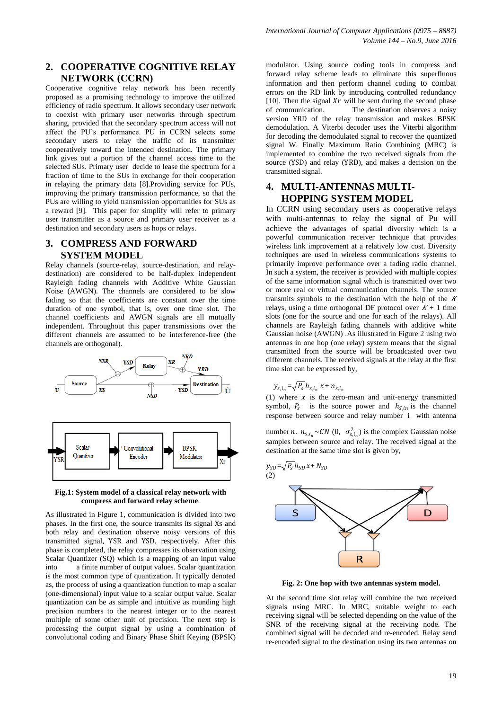## **2. COOPERATIVE COGNITIVE RELAY NETWORK (CCRN)**

Cooperative cognitive relay network has been recently proposed as a promising technology to improve the utilized efficiency of radio spectrum. It allows secondary user network to coexist with primary user networks through spectrum sharing, provided that the secondary spectrum access will not affect the PU's performance. PU in CCRN selects some secondary users to relay the traffic of its transmitter cooperatively toward the intended destination. The primary link gives out a portion of the channel access time to the selected SUs. Primary user decide to lease the spectrum for a fraction of time to the SUs in exchange for their cooperation in relaying the primary data [8].Providing service for PUs, improving the primary transmission performance, so that the PUs are willing to yield transmission opportunities for SUs as a reward [9]. This paper for simplify will refer to primary user transmitter as a source and primary user receiver as a destination and secondary users as hops or relays.

## **3. COMPRESS AND FORWARD SYSTEM MODEL**

Relay channels (source-relay, source-destination, and relaydestination) are considered to be half-duplex independent Rayleigh fading channels with Additive White Gaussian Noise (AWGN). The channels are considered to be slow fading so that the coefficients are constant over the time duration of one symbol, that is, over one time slot. The channel coefficients and AWGN signals are all mutually independent. Throughout this paper transmissions over the different channels are assumed to be interference-free (the channels are orthogonal).



#### **Fig.1: System model of a classical relay network with compress and forward relay scheme**.

As illustrated in Figure 1, communication is divided into two phases. In the first one, the source transmits its signal Xs and both relay and destination observe noisy versions of this transmitted signal, YSR and YSD, respectively. After this phase is completed, the relay compresses its observation using Scalar Quantizer (SQ) which is a mapping of an input value into a finite number of output values. Scalar quantization is the most common type of quantization. It typically denoted as, the process of using a quantization function to map a scalar (one-dimensional) input value to a scalar output value. Scalar quantization can be as simple and intuitive as rounding high precision numbers to the nearest integer or to the nearest multiple of some other unit of precision. The next step is processing the output signal by using a combination of convolutional coding and Binary Phase Shift Keying (BPSK) modulator. Using source coding tools in compress and forward relay scheme leads to eliminate this superfluous information and then perform channel coding to combat errors on the RD link by introducing controlled redundancy [10]. Then the signal  $Xr$  will be sent during the second phase of communication. The destination observes a noisy version YRD of the relay transmission and makes BPSK demodulation. A Viterbi decoder uses the Viterbi algorithm for decoding the demodulated signal to recover the quantized signal W. Finally Maximum Ratio Combining (MRC) is implemented to combine the two received signals from the source (YSD) and relay (YRD), and makes a decision on the transmitted signal.

# **4. MULTI-ANTENNAS MULTI-HOPPING SYSTEM MODEL**

In CCRN using secondary users as cooperative relays with multi-antennas to relay the signal of Pu will achieve the advantages of spatial diversity which is a powerful communication receiver technique that provides wireless link improvement at a relatively low cost. Diversity techniques are used in wireless communications systems to primarily improve performance over a fading radio channel. In such a system, the receiver is provided with multiple copies of the same information signal which is transmitted over two or more real or virtual communication channels. The source transmits symbols to the destination with the help of the  $K$ relays, using a time orthogonal DF protocol over  $K+1$  time slots (one for the source and one for each of the relays). All channels are Rayleigh fading channels with additive white Gaussian noise (AWGN) .As illustrated in Figure 2 using two antennas in one hop (one relay) system means that the signal transmitted from the source will be broadcasted over two different channels. The received signals at the relay at the first time slot can be expressed by,

$$
y_{s,i_n} = \sqrt{P_s} h_{s,i_n} x + n_{s,i_n}
$$

(1) where  $x$  is the zero-mean and unit-energy transmitted symbol,  $P_s$  is the source power and  $h_{s,in}$  is the channel response between source and relay number i with antenna

number *n*.  $n_{s,i_n} \sim CN$  (0,  $\sigma_{s,i_n}^2$ ) is the complex Gaussian noise samples between source and relay. The received signal at the destination at the same time slot is given by,



**Fig. 2: One hop with two antennas system model.**

At the second time slot relay will combine the two received signals using MRC. In MRC, suitable weight to each receiving signal will be selected depending on the value of the SNR of the receiving signal at the receiving node. The combined signal will be decoded and re-encoded. Relay send re-encoded signal to the destination using its two antennas on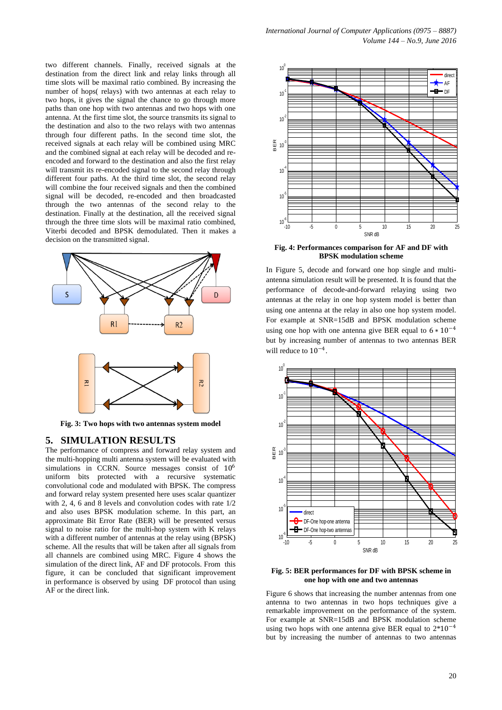two different channels. Finally, received signals at the destination from the direct link and relay links through all time slots will be maximal ratio combined. By increasing the number of hops( relays) with two antennas at each relay to two hops, it gives the signal the chance to go through more paths than one hop with two antennas and two hops with one antenna. At the first time slot, the source transmits its signal to the destination and also to the two relays with two antennas through four different paths. In the second time slot, the received signals at each relay will be combined using MRC and the combined signal at each relay will be decoded and reencoded and forward to the destination and also the first relay will transmit its re-encoded signal to the second relay through different four paths. At the third time slot, the second relay will combine the four received signals and then the combined signal will be decoded, re-encoded and then broadcasted through the two antennas of the second relay to the destination. Finally at the destination, all the received signal through the three time slots will be maximal ratio combined, Viterbi decoded and BPSK demodulated. Then it makes a decision on the transmitted signal.



**Fig. 3: Two hops with two antennas system model**

## **5. SIMULATION RESULTS**

The performance of compress and forward relay system and the multi-hopping multi antenna system will be evaluated with simulations in CCRN. Source messages consist of  $10^6$ uniform bits protected with a recursive systematic convolutional code and modulated with BPSK. The compress and forward relay system presented here uses scalar quantizer with 2, 4, 6 and 8 levels and convolution codes with rate 1/2 and also uses BPSK modulation scheme. In this part, an approximate Bit Error Rate (BER) will be presented versus signal to noise ratio for the multi-hop system with K relays with a different number of antennas at the relay using (BPSK) scheme. All the results that will be taken after all signals from all channels are combined using MRC. Figure 4 shows the simulation of the direct link, AF and DF protocols. From this figure, it can be concluded that significant improvement in performance is observed by using DF protocol than using AF or the direct link.



**Fig. 4: Performances comparison for AF and DF with BPSK modulation scheme**

In Figure 5, decode and forward one hop single and multiantenna simulation result will be presented. It is found that the performance of decode-and-forward relaying using two antennas at the relay in one hop system model is better than using one antenna at the relay in also one hop system model. For example at SNR=15dB and BPSK modulation scheme using one hop with one antenna give BER equal to  $6 * 10^{-4}$ but by increasing number of antennas to two antennas BER will reduce to 10−<sup>4</sup> .



**Fig. 5: BER performances for DF with BPSK scheme in one hop with one and two antennas**

Figure 6 shows that increasing the number antennas from one antenna to two antennas in two hops techniques give a remarkable improvement on the performance of the system. For example at SNR=15dB and BPSK modulation scheme using two hops with one antenna give BER equal to 2\*10−<sup>4</sup> but by increasing the number of antennas to two antennas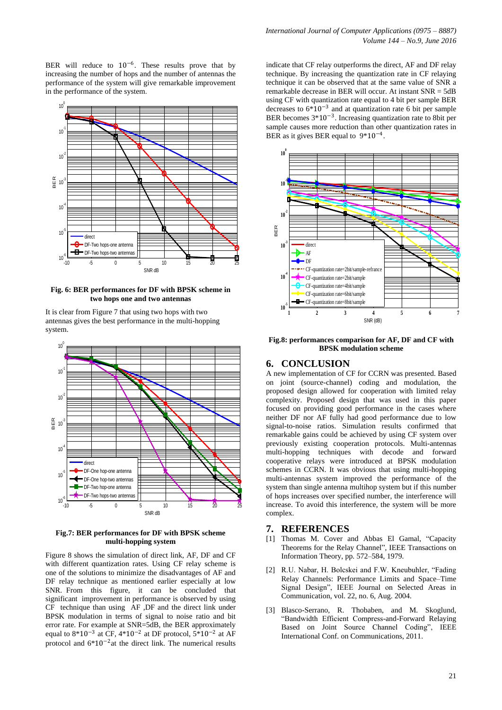BER will reduce to  $10^{-6}$ . These results prove that by increasing the number of hops and the number of antennas the performance of the system will give remarkable improvement in the performance of the system.



**Fig. 6: BER performances for DF with BPSK scheme in two hops one and two antennas**

It is clear from Figure 7 that using two hops with two antennas gives the best performance in the multi-hopping system.



### **Fig.7: BER performances for DF with BPSK scheme multi-hopping system**

Figure 8 shows the simulation of direct link, AF, DF and CF with different quantization rates. Using CF relay scheme is one of the solutions to minimize the disadvantages of AF and DF relay technique as mentioned earlier especially at low SNR. From this figure, it can be concluded that significant improvement in performance is observed by using CF technique than using AF ,DF and the direct link under BPSK modulation in terms of signal to noise ratio and bit error rate. For example at SNR=5dB, the BER approximately equal to  $8*10^{-3}$  at CF,  $4*10^{-2}$  at DF protocol,  $5*10^{-2}$  at AF protocol and 6\*10−<sup>2</sup> at the direct link. The numerical results indicate that CF relay outperforms the direct, AF and DF relay technique. By increasing the quantization rate in CF relaying technique it can be observed that at the same value of SNR a remarkable decrease in BER will occur. At instant SNR = 5dB using CF with quantization rate equal to 4 bit per sample BER decreases to  $6*10^{-3}$  and at quantization rate 6 bit per sample BER becomes 3\*10−<sup>3</sup> . Increasing quantization rate to 8bit per sample causes more reduction than other quantization rates in BER as it gives BER equal to  $9*10^{-4}$ .



**Fig.8: performances comparison for AF, DF and CF with BPSK modulation scheme** 

## **6. CONCLUSION**

A new implementation of CF for CCRN was presented. Based on joint (source-channel) coding and modulation, the proposed design allowed for cooperation with limited relay complexity. Proposed design that was used in this paper focused on providing good performance in the cases where neither DF nor AF fully had good performance due to low signal-to-noise ratios. Simulation results confirmed that remarkable gains could be achieved by using CF system over previously existing cooperation protocols. Multi-antennas multi-hopping techniques with decode and forward cooperative relays were introduced at BPSK modulation schemes in CCRN. It was obvious that using multi-hopping multi-antennas system improved the performance of the system than single antenna multihop system but if this number of hops increases over specified number, the interference will increase. To avoid this interference, the system will be more complex.

## **7. REFERENCES**

- [1] Thomas M. Cover and Abbas El Gamal, "Capacity Theorems for the Relay Channel", IEEE Transactions on Information Theory, pp. 572–584, 1979.
- [2] R.U. Nabar, H. Bolcskei and F.W. Kneubuhler, "Fading Relay Channels: Performance Limits and Space–Time Signal Design", IEEE Journal on Selected Areas in Communication, vol. 22, no. 6, Aug. 2004.
- [3] Blasco-Serrano, R. Thobaben, and M. Skoglund, "Bandwidth Efficient Compress-and-Forward Relaying Based on Joint Source Channel Coding", IEEE International Conf. on Communications, 2011.